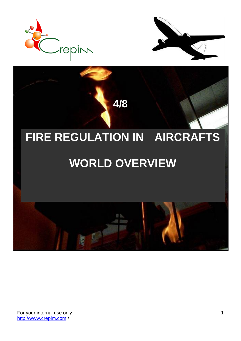

**CREPTIVE 2018** 



# **FIRE REGULATION IN AIRCRAFTS**

## **WORLD OVERVIEW**

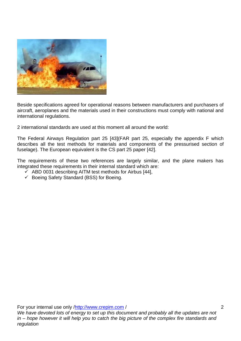

Beside specifications agreed for operational reasons between manufacturers and purchasers of aircraft, aeroplanes and the materials used in their constructions must comply with national and international regulations.

2 international standards are used at this moment all around the world:

The Federal Airways Regulation part 25 [\[43\]\(](#page-10-0)FAR part 25, especially the appendix F which describes all the test methods for materials and components of the pressurised section of fuselage). The European equivalent is the CS part 25 paper [\[42\].](#page-10-1)

The requirements of these two references are largely similar, and the plane makers has integrated these requirements in their internal standard which are:

- $\checkmark$  ABD 0031 describing AITM test methods for Airbus [\[44\],](#page-10-2)
- ✓ Boeing Safety Standard (BSS) for Boeing.

For your internal use only [/http://www.crepim.com](http://www.crepim.com/) /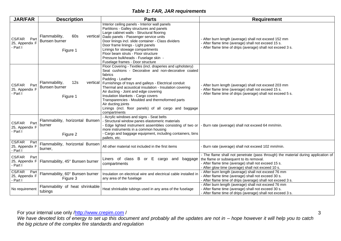#### *Table 1: FAR, JAR requirements*

| <b>JAR/FAR</b>                               | <b>Description</b>                                    | <b>Parts</b>                                                                                                                                                                                                                                                                                                                                                                                                                                                                                                       | <b>Requirement</b>                                                                                                                                                                                                                      |
|----------------------------------------------|-------------------------------------------------------|--------------------------------------------------------------------------------------------------------------------------------------------------------------------------------------------------------------------------------------------------------------------------------------------------------------------------------------------------------------------------------------------------------------------------------------------------------------------------------------------------------------------|-----------------------------------------------------------------------------------------------------------------------------------------------------------------------------------------------------------------------------------------|
| CS/FAR<br>Part<br>25, Appendix F<br>- Part I | Flammability,<br>60s<br>Bunsen burner<br>Figure 1     | Interior ceiling panels - Interior wall panels<br>Partitions - Galley structures and panels<br>Large cabinet walls - Structural flooring<br>vertical   Dado panels - Passenger service units<br>Door linings incl. slide container - Class dividers<br>Door frame linings - Light panels<br>Linings for stowage compartments<br>Floor beam struts - Floor structure<br>Pressure bulkheads - Fuselage skin -<br>Fuselage frames - Door structure                                                                    | - After burn length (average) shall not exceed 152 mm<br>After flame time (average) shall not exceed 15 s.<br>After flame time of drips (average) shall not exceed 3 s.                                                                 |
| CS/FAR<br>Part<br>25, Appendix F<br>- Part I | Flammability,<br>12s<br>Bunsen burner<br>Figure 1     | Floor Covering - Textiles (incl. draperies and upholstery)<br>Seat cushions - Decorative and non-decorative coated<br>fabrics<br>Padding - Leather<br>vertical   Furnishings of trays and galleys - Electrical conduit<br>Thermal and acoustical insulation - Insulation covering<br>Air ducting - Joint and edge covering<br>Insulation blankets - Cargo covers<br>Transparencies - Moulded and thermoformed parts<br>Air ducting joints<br>Linings (incl. floor panels) of all cargo and baggage<br>compartments | - After burn length (average) shall not exceed 203 mm<br>After flame time (average) shall not exceed 15 s.<br>- After flame time of drips (average) shall not exceed 5 s.                                                               |
| CS/FAR<br>Part<br>25, Appendix F<br>- Part I | Flammability, horizontal Bunsen<br>burner<br>Figure 2 | - Acrylic windows and signs - Seat belts<br>- Structural window panes elastomeric materials<br>Edge lighted instrument assemblies consisting of two or<br>more instruments in a common housing<br>Cargo and baggage equipment, including containers, bins<br>pallets, etc.                                                                                                                                                                                                                                         | - Burn rate (average) shall not exceed 64 mm/min.                                                                                                                                                                                       |
| CS/FAR<br>Part<br>25, Appendix F<br>- Part I | Flammability, horizontal Bunsen<br>burner,            | All other material not included in the first items                                                                                                                                                                                                                                                                                                                                                                                                                                                                 | Burn rate (average) shall not exceed 102 mm/min.                                                                                                                                                                                        |
| CS/FAR<br>Part<br>25, Appendix F<br>- Part I | Flammability, 45° Bunsen burner                       | Liners of class B<br>or E cargo and baggage<br>compartments                                                                                                                                                                                                                                                                                                                                                                                                                                                        | - The flame shall not penetrate (pass through) the material during application of<br>the flame or subsequent to its removal.<br>- After flame time (average) shall not exceed 15 s.<br>After glow time (average) shall not exceed 10 s. |
| CS/FAR<br>Part<br>25, Appendix F<br>- Part I | Flammability, 60° Bunsen burner<br>Figure 3           | Insulation on electrical wire and electrical cable installed in<br>any area of the fuselage                                                                                                                                                                                                                                                                                                                                                                                                                        | After burn length (average) shall not exceed 76 mm<br>After flame time (average) shall not exceed 30 s.<br>- After flame time of drips (average) shall not exceed 3 s.                                                                  |
| No requirement                               | Flammability of heat shrinkable<br>tubings            | Heat shrinkable tubings used in any area of the fuselage                                                                                                                                                                                                                                                                                                                                                                                                                                                           | - After burn length (average) shall not exceed 76 mm<br>- After flame time (average) shall not exceed 30 s.<br>- After flame time of drips (average) shall not exceed 3 s.                                                              |

For your internal use only [/http://www.crepim.com](http://www.crepim.com/) /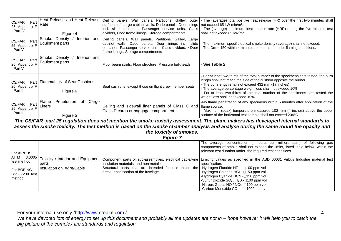| CS/FAR<br>Part<br>25, Appendix F<br>- Part IV                                                                                                                                                                                                                                                                           | Heat Release and Heat Release<br>Rate<br>Figure 4                       | Ceiling panels, Wall panels, Partitions, Galley, outer<br>surfaces of, Large cabinet walls, Dado panels, Door linings<br>incl. slide container, Passenger service units, Class<br>dividers, Door frame linings, Storage compartments | - The (average) total positive heat release (HR) over the first two minutes shall<br>not exceed 65 kW min/m <sup>2</sup> .<br>- The (average) maximum heat release rate (HRR) during the five minutes test<br>shall not exceed 65 kW/m <sup>2</sup> .                                                                                                                                                                                                                                                                                                                                                                                                                             |  |  |  |
|-------------------------------------------------------------------------------------------------------------------------------------------------------------------------------------------------------------------------------------------------------------------------------------------------------------------------|-------------------------------------------------------------------------|--------------------------------------------------------------------------------------------------------------------------------------------------------------------------------------------------------------------------------------|-----------------------------------------------------------------------------------------------------------------------------------------------------------------------------------------------------------------------------------------------------------------------------------------------------------------------------------------------------------------------------------------------------------------------------------------------------------------------------------------------------------------------------------------------------------------------------------------------------------------------------------------------------------------------------------|--|--|--|
| CS/FAR<br>Part<br>25, Appendix F<br>- Part V                                                                                                                                                                                                                                                                            | Smoke Density<br>Interior and<br>Equipment parts                        | Ceiling panels, Wall panels, Partitions, Galley, Large<br>cabinet walls, Dado panels, Door linings incl. slide<br>container, Passenger service units, Class dividers, • Door<br>frame linings, Storage compartments                  | - The maximum specific optical smoke density (average) shall not exceed.<br>- The Dm = 150 within 4 minutes test duration under flaming conditions.                                                                                                                                                                                                                                                                                                                                                                                                                                                                                                                               |  |  |  |
| CS/FAR<br>Part<br>25, Appendix F<br>- Part V                                                                                                                                                                                                                                                                            | Smoke Density<br>Interior and<br><b>Equipment parts</b>                 | Floor beam struts, Floor structure, Pressure bulkheads                                                                                                                                                                               | See Table 2                                                                                                                                                                                                                                                                                                                                                                                                                                                                                                                                                                                                                                                                       |  |  |  |
| CS/FAR<br>Part<br>25, Appendix F<br>- Part II                                                                                                                                                                                                                                                                           | <b>Flammability of Seat Cushions</b><br>Figure 6                        | Seat cushions, except those on flight crew member seats                                                                                                                                                                              | - For at least two-thirds of the total number of the specimens sets tested, the burn<br>length shall not reach the side of the cushion opposite the burner.<br>- The burn length shall not exceed 432 mm (17 inches).<br>- The average percentage weight loss shall not exceed 10%.<br>- For at least two-thirds of the total number of the specimens sets tested the<br>weight loss shall not exceed 10%.                                                                                                                                                                                                                                                                        |  |  |  |
| CS/FAR<br>Part<br>25, Appendix F<br>- Part III                                                                                                                                                                                                                                                                          | Penetration<br>Flame<br>Cargo<br>of<br>Liners<br>Figure 5               | Ceiling and sidewall liner panels of Class C and flame source.<br>Class D cargo or baggage compartment                                                                                                                               | -No flame penetration of any specimens within 5 minutes after application of the<br>- Maximum (peak) temperature measured 102 mm (4 inches) above the upper<br>surface of the horizontal test sample shall not exceed 204°C.                                                                                                                                                                                                                                                                                                                                                                                                                                                      |  |  |  |
| The CS/FAR part 25 regulation does not mention the smoke toxicity assessment. The plane makers has developed internal standards to<br>assess the smoke toxicity. The test method is based on the smoke chamber analysis and analyse during the same round the opacity and<br>the toxicity of smokes.<br><b>Figure 7</b> |                                                                         |                                                                                                                                                                                                                                      |                                                                                                                                                                                                                                                                                                                                                                                                                                                                                                                                                                                                                                                                                   |  |  |  |
| For AIRBUS:<br>AITM 3.0005<br>test method<br>For BOEING<br><b>BSS 7239 test</b><br>method                                                                                                                                                                                                                               | Toxicity / Interior and Equipment<br>parts<br>Insulation on. Wire/Cable | insulation materials, and non metallic<br>Structural parts, that are intended for use inside the<br>pressurized section of the fuselage                                                                                              | The average concentration (in parts per million, ppm) of following gas<br>components of smoke shall not exceed the limits, listed table below, within the<br>relevant test duration under the required test conditions.<br>Component parts or sub-assemblies, electrical cable/wire Limiting values as specified in the ABD 00031 Airbus Industrie material test<br>specification:<br>-Hydrogen Fluoride HF -0100 ppm vol<br>-Hydrogen Chloride HCI - <sup>150</sup> ppm vol<br>-Hydrogen Cyanide HCN -150 ppm vol<br>-Sulfur Dioxide SO <sub>2</sub> / H <sub>2</sub> S -0100 ppm vol<br>-Nitrous Gases NO / NO <sub>2</sub> -0100 ppm vol<br>-Carbon Monoxide CO -□1000 ppm vol |  |  |  |

*We have devoted lots of energy to set up this document and probably all the updates are not in – hope however it will help you to catch the big picture of the complex fire standards and regulation*

4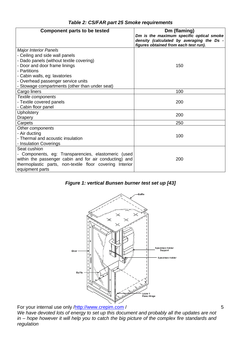<span id="page-4-1"></span><span id="page-4-0"></span>

| <b>Component parts to be tested</b>                      | Dm (flaming)<br>Dm is the maximum specific optical smoke<br>density (calculated by averaging the Ds -<br>figures obtained from each test run). |
|----------------------------------------------------------|------------------------------------------------------------------------------------------------------------------------------------------------|
| <b>Major Interior Panels</b>                             |                                                                                                                                                |
| - Ceiling and side wall panels                           | 150                                                                                                                                            |
| - Dado panels (without textile covering)                 |                                                                                                                                                |
| - Door and door frame linings                            |                                                                                                                                                |
| - Partitions                                             |                                                                                                                                                |
| - Cabin walls, eg: lavatories                            |                                                                                                                                                |
| - Overhead passenger service units                       |                                                                                                                                                |
| - Stowage compartments (other than under seat)           |                                                                                                                                                |
| Cargo liners                                             | 100                                                                                                                                            |
| Textile components                                       |                                                                                                                                                |
| - Textile covered panels                                 | 200                                                                                                                                            |
| - Cabin floor panel                                      |                                                                                                                                                |
| <b>Upholstery</b>                                        | 200                                                                                                                                            |
| Drapery                                                  |                                                                                                                                                |
| Carpets                                                  | 250                                                                                                                                            |
| Other components                                         |                                                                                                                                                |
| - Air ducting                                            | 100                                                                                                                                            |
| - Thermal and acoustic insulation                        |                                                                                                                                                |
| - Insulation Coverings                                   |                                                                                                                                                |
| Seat cushion                                             |                                                                                                                                                |
| - Components, eg: Transparencies, elastomeric (used      |                                                                                                                                                |
| within the passenger cabin and for air conducting) and   | 200                                                                                                                                            |
| thermoplastic parts, non-textile floor covering Interior |                                                                                                                                                |
| equipment parts                                          |                                                                                                                                                |

#### *Table 2: CS/FAR part 25 Smoke requirements*

*Figure 1: vertical Bunsen burner test set up [\[43\]](#page-10-0)*



For your internal use only [/http://www.crepim.com](http://www.crepim.com/)/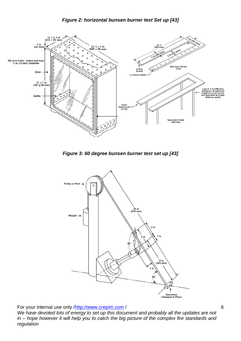<span id="page-5-0"></span>

<span id="page-5-1"></span>

*Figure 3: 60 degree bunsen burner test set up [\[43\]](#page-10-0)*

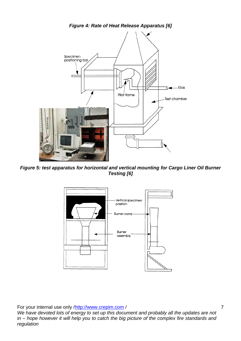<span id="page-6-1"></span><span id="page-6-0"></span>

*Figure 5: test apparatus for horizontal and vertical mounting for Cargo Liner Oil Burner Testing [\[6\]](#page-8-0)*

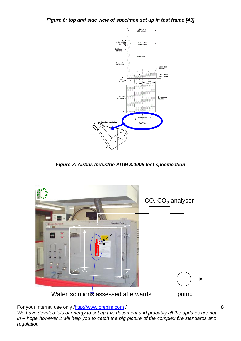<span id="page-7-1"></span><span id="page-7-0"></span>*Figure 6: top and side view of specimen set up in test frame [\[43\]](#page-10-0)*



*Figure 7: Airbus Industrie AITM 3.0005 test specification*

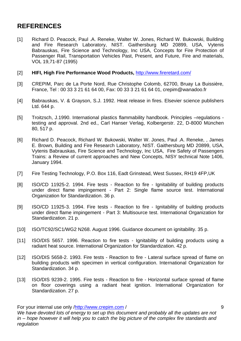## **REFERENCES**

- [1] Richard D. Peacock, Paul .A. Reneke, Walter W. Jones, Richard W. Bukowski, Building and Fire Research Laboratory, NIST. Gaithersburg MD 20899, USA, Vytenis Babrauskas, Fire Science and Technology, Inc USA, Concepts for Fire Protection of Passenger Rail, Transportation Vehicles Past, Present, and Future, Fire and materials, VOL 19,71-87 (1995)
- [2] **HIFI, High Fire Performance Wood Products,** <http://www.fireretard.com/>
- [3] CREPIM, Parc de La Porte Nord, Rue Christophe Colomb, 62700, Bruay La Buissière, France, Tel : 00 33 3 21 61 64 00, Fax: 00 33 3 21 61 64 01, crepim@wanadoo.fr
- [4] Babrauskas, V. & Grayson, S.J. 1992. Heat release in fires. Elsevier science publishers Ltd. 644 p.
- [5] Troitzsch, J.1990. International plastics flammability handbook. Principles –regulations testing and approval. 2nd ed., Carl Hanser Verlag, Kolbergerstr. 22, D-8000 München 80, 517 p.
- <span id="page-8-0"></span>[6] Richard D. Peacock, Richard W. Bukowski, Walter W. Jones, Paul .A. Reneke, , James E. Brown, Building and Fire Research Laboratory, NIST. Gaithersburg MD 20899, USA, Vytenis Babrauskas, Fire Science and Technology, Inc USA, Fire Safety of Passengers Trains: a Review of current approaches and New Concepts, NISY technical Note 1406, January 1994.
- [7] Fire Testing Technology, P.O. Box 116, Eadt Grinstead, West Sussex, RH19 4FP,UK
- [8] ISO/CD 11925-2. 1994. Fire tests Reaction to fire Ignitability of building products under direct flame impingement - Part 2: Single flame source test. International Organization for Standardization. 36 p.
- [9] ISO/CD 11925-3. 1994. Fire tests Reaction to fire Ignitability of building products under direct flame impingement - Part 3: Multisource test. International Organization for Standardization. 21 p.
- [10] ISO/TC92/SC1/WG2 N268. August 1996. Guidance document on ignitability. 35 p.
- [11] ISO/DIS 5657. 1996. Reaction to fire tests Ignitability of building products using a radiant heat source. International Organization for Standardization. 42 p.
- [12] ISO/DIS 5658-2. 1993. Fire tests Reaction to fire Lateral surface spread of flame on building products with specimen in vertical configuration. International Organization for Standardization. 34 p.
- [13] ISO/DIS 9239-2. 1995. Fire tests Reaction to fire Horizontal surface spread of flame on floor coverings using a radiant heat ignition. International Organization for Standardization. 27 p.

For your internal use only [/http://www.crepim.com](http://www.crepim.com/) /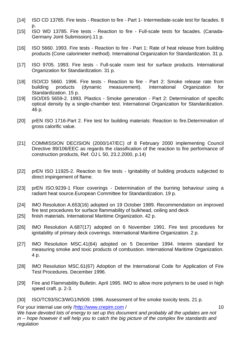- [14] ISO CD 13785. Fire tests Reaction to fire Part 1- Intermediate-scale test for facades. 8 p.
- [15] ISO WD 13785. Fire tests Reaction to fire Full-scale tests for facades. (Canada-Germany Joint Submission).11 p.
- [16] ISO 5660. 1993. Fire tests Reaction to fire Part 1: Rate of heat release from building products (Cone calorimeter method). International Organization for Standardization. 31 p.
- [17] ISO 9705. 1993. Fire tests Full-scale room test for surface products. International Organization for Standardization. 31 p.
- [18] ISO/CD 5660. 1996. Fire tests Reaction to fire Part 2: Smoke release rate from building products (dynamic measurement). International Organization for Standardization. 15 p.
- [19] ISO/DIS 5659-2. 1993. Plastics Smoke generation Part 2: Determination of specific optical density by a single-chamber test. International Organization for Standardization. 46 p.
- [20] prEN ISO 1716-Part 2. Fire test for building materials: Reaction to fire.Determination of gross calorific value.
- [21] COMMISSION DECISION (2000/147/EC) of 8 February 2000 implementing Council Directive 89/106/EEC as regards the classification of the reaction to fire performance of construction products, Ref. OJ L 50, 23.2.2000, p.14)
- [22] prEN ISO 11925-2. Reaction to fire tests Ignitability of building products subjected to direct impingement of flame.
- [23] prEN ISO.9239-1 Floor coverings Determination of the burning behaviour using a radiant heat source.European Committee for Standardization. 19 p.
- [24] IMO Resolution A.653(16) adopted on 19 October 1989. Recommendation on improved fire test procedures for surface flammability of bulkhead, ceiling and deck
- [25] finish materials. International Maritime Organization. 42 p.
- [26] IMO Resolution A.687(17) adopted on 6 November 1991. Fire test procedures for ignitability of primary deck coverings. International Maritime Organization. 2 p.
- [27] IMO Resolution MSC.41(64) adopted on 5 December 1994. Interim standard for measuring smoke and toxic products of combustion. International Maritime Organization. 4 p.
- [28] IMO Resolution MSC.61(67) Adoption of the International Code for Application of Fire Test Procedures. December 1996.
- [29] Fire and Flammability Bulletin. April 1995. IMO to allow more polymers to be used in high speed craft. p. 2-3.
- [30] ISO/TC93/SC3/WG1/N509. 1996. Assessment of fire smoke toxicity tests. 21 p.

For your internal use only [/http://www.crepim.com](http://www.crepim.com/) /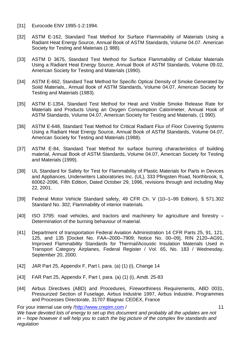- [31] Eurocode ENV 1995-1-2:1994.
- [32] ASTM E-162, Standard Teat Method for Surface Flammability of Materials Using a Radiant Heat Energy Source, Annual Book of ASTM Standards, Volume 04.07. American Society for Testing and Materiais (1 988).
- [33] ASTM D 3675, Standard Test Method for Surface Flammability of Cellular Materials Using a Radiant Heat Energy Source, Annual Book of ASTM Standards, Volume 09.02, American Society for Testing and Materials (1990).
- [34] ASTM E-662, Standard Teat Method for Specific Opticai Density of Smoke Generated by Soiid Materials,. Annual 8ook of ASTM Standards, Volume 04.07, American Society for Testing and Materials (1983).
- [35] ASTM E-1354, Standard Test Method for Heat and Visible Smoke Release Rate for Materials and Products Using an Oxygen Consumption Calorimeter, Annual Hook of ASTM Standards, Volume 04.07, American Society for Testing and Materials, (1 990).
- [36] ASTM E-648, Standard Teat Method for Critical Radiant Flux of Floor Covering Systems Using a Radiant Heat Energy Source, Annual Book of ASTM Standards, Volume 04.07, American Society for Testing and Materials (1988).
- [37] ASTM E-84, Standard Teat Method for surface burning characteristics of building material, Annual Book of ASTM Standards, Volume 04.07, American Society for Testing and Materials (1999).
- [38] UL Standard for Safety for Test for Flammability of Plastic Materials for Parts in Devices and Appliances, Underwriters Laboratories Inc. (UL), 333 Pfingsten Road, Northbrook, IL 60062-2096, Fifth Edition, Dated October 29, 1996, revisions through and including May 22, 2001.
- [39] Federal Motor Vehicle Standard safety, 49 CFR Ch. V (10–1–99 Edition), § 571.302 Standard No. 302; Flammability of interior materials.
- [40] ISO 3795: road vehicles, and tractors and machinery for agriculture and forestry Determination of the burning behaviour of material.
- [41] Department of transportation Federal Aviation Administration 14 CFR Parts 25, 91, 121, 125, and 135 [Docket No. FAA–2000–7909; Notice No. 00–09], RIN 2120–AG91, Improved Flammability Standards for Thermal/Acoustic Insulation Materials Used in Transport Category Airplanes, Federal Register / Vol. 65, No. 183 / Wednesday, September 20, 2000.
- <span id="page-10-1"></span>[42] JAR Part 25, Appendix F, Part l, para. (a) (1) (i), Change 14
- <span id="page-10-0"></span>[43] FAR Part 25, Appendix F, Part l, para. (a) (1) (i), Amdt. 25-83
- <span id="page-10-2"></span>[44] Airbus Directives (ABD) and Procedures, Fireworthiness Requirements, ABD 0031, Pressurized Section of Fuselage, Airbus Industrie 1997, Airbus Industrie, Programmes and Processes Directorate, 31707 Blagnac CEDEX, France

For your internal use only [/http://www.crepim.com](http://www.crepim.com/) / *We have devoted lots of energy to set up this document and probably all the updates are not in – hope however it will help you to catch the big picture of the complex fire standards and regulation*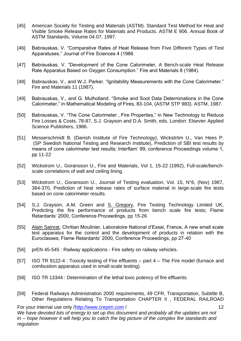- [45] American Society for Testing and Materials (ASTM). Standard Test Method for Heat and Visible Smoke Release Rates for Materials and Products. ASTM E 906. Annual Book of ASTM Standards, Volume 04.07, 1997.
- [46] Babrauskas, V. "Comparative Rates of Heat Release from Five Different Types of Test Apparatuses." Journal of Fire Sciences 4 (1986
- [47] Babrauskas, V. "Development of the Cone Calorimeter, A Bench-scale Heat Release Rate Apparatus Based on Oxygen Consumption." Fire and Materials 8 (1984).
- [48] Babrauskas, V., and W.J. Parker. "Ignitability Measurements with the Cone Calorimeter." Fire and Materials 11 (1987).
- [49] Babrauskas, V., and G. Mulholland. "Smoke and Soot Data Determinations in the Cone Calorimeter," in Mathematical Modeling of Fires, 83-104, (ASTM STP 983). ASTM, 1987.
- [50] Babrauskas, V. "The Cone Calorimeter , Fire Properties," in New Technology to Reduce Fire Losses & Costs, 78-87, S.J. Grayson and D.A. Smith, eds. London: Elsevier Applied Science Publishers, 1986.
- [51] Messerschmidt B. (Danish Institute of Fire Technology), Wickström U., Van Hees P. (SP Swedish National Testing and Research Institute), Prediction of SBI test results by means of cone calorimeter test results; Interflam' 99, conference Proceedings volume 1, pp 11-22
- [52] Wickstrom U., Goransson U., Fire and Materials, Vol 1, 15-22 (1992), Full-scale/benchscale correlations of wall and ceiling lining.
- [53] Wickstrom U., Goransson U., Journal of Testing evaluation, Vol. 15, N°6, (Nov) 1987, 364-370, Prediction of heat release rates of surface material in large-scale fire tests based on cone calorimeter results.
- [54] S.J. Grayson, A.M. Green and S. Gregory, Fire Testing Technology Limited UK, Predicting the fire performance of products from bench scale fire tests; Flame Retardants' 2000, Conference Proceedings, pp 15-26
- [55] Alain Sainrat, Chritian Moulinier, Laboratoire National d'Essai, France, A new small scale test apparatus for the control and the development of products in relation with the Euroclasses; Flame Retardants' 2000, Conference Proceedings, pp 27-40
- [56] prEN 45-545 : Railway applications Fire safety on railway vehicles.
- [57] ISO TR 9122-4 : Toxicity testing of Fire effluents part 4 The Fire model (furnace and combustion apparatus used in small-scale testing).
- [58] ISO TR 13344 : Determination of the lethal toxic potency of fire effluents.
- [59] Federal Railways Administration 2000 requirements, 49 CFR, Transportation, Subtitle B, Other Regulations Relating To Transportation CHAPTER II , FEDERAL RAILROAD

For your internal use only [/http://www.crepim.com](http://www.crepim.com/) / *We have devoted lots of energy to set up this document and probably all the updates are not in – hope however it will help you to catch the big picture of the complex fire standards and regulation*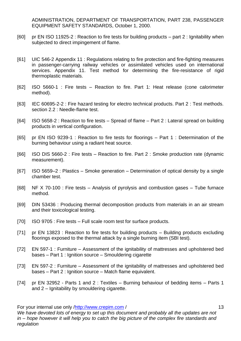ADMINISTRATION, DEPARTMENT OF TRANSPORTATION, PART 238, PASSENGER EQUIPMENT SAFETY STANDARDS, October 1, 2000.

- [60] pr EN ISO 11925-2 : Reaction to fire tests for building products part 2 : Ignitability when subjected to direct impingement of flame.
- [61] UIC 546-2 Appendix 11 : Regulations relating to fire protection and fire-fighting measures in passenger-carrying railway vehicles or assimilated vehicles used on international services. Appendix 11. Test method for determining the fire-resistance of rigid thermoplastic materials.
- [62] ISO 5660-1 : Fire tests Reaction to fire. Part 1: Heat release (cone calorimeter method).
- [63] IEC 60695-2-2 : Fire hazard testing for electro technical products. Part 2 : Test methods. section 2.2 : Needle-flame test.
- [64] ISO 5658-2 : Reaction to fire tests Spread of flame Part 2 : Lateral spread on building products in vertical configuration.
- [65] pr EN ISO 9239-1 : Reaction to fire tests for floorings Part 1 : Determination of the burning behaviour using a radiant heat source.
- [66] ISO DIS 5660-2 : Fire tests Reaction to fire. Part 2 : Smoke production rate (dynamic measurement).
- [67] ISO 5659–2 : Plastics Smoke generation Determination of optical density by a single chamber test.
- [68] NF X 70-100 : Fire tests Analysis of pyrolysis and combustion gases Tube furnace method.
- [69] DIN 53436 : Producing thermal decomposition products from materials in an air stream and their toxicological testing.
- [70] ISO 9705 : Fire tests Full scale room test for surface products.
- [71] pr EN 13823 : Reaction to fire tests for building products Building products excluding floorings exposed to the thermal attack by a single burning item (SBI test).
- [72] EN 597-1 : Furniture Assessment of the ignitability of mattresses and upholstered bed bases – Part 1 : Ignition source – Smouldering cigarette
- [73] EN 597-2 : Furniture Assessment of the ignitability of mattresses and upholstered bed bases – Part 2 : Ignition source – Match flame equivalent.
- [74] pr EN 32952 Parts 1 and 2 : Textiles Burning behaviour of bedding items Parts 1 and 2 – Ignitability by smouldering cigarette.

For your internal use only [/http://www.crepim.com](http://www.crepim.com/) /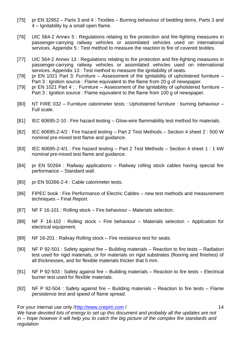- [75] pr EN 32952 Parts 3 and 4 : Textiles Burning behaviour of bedding items. Parts 3 and 4 – Ignitability by a small open flame.
- [76] UIC 564-2 Annex 5 : Regulations relating to fire protection and fire-fighting measures in passenger-carrying railway vehicles or assimilated vehicles used on international services. Appendix 5 : Test method to measure the reaction to fire of covered textiles.
- [77] UIC 564-2 Annex 13 : Regulations relating to fire protection and fire-fighting measures in passenger-carrying railway vehicles or assimilated vehicles used on international services. Appendix 13 : Test method to measure the ignitability of seats.
- [78] pr EN 1021 Part 3: Furniture Assessment of the ignitability of upholstered furniture Part 3 : Ignition source : Flame equivalent to the flame from 20 g of newspaper.
- [79] pr EN 1021 Part 4 :: Furniture Assessment of the ignitability of upholstered furniture Part 3 : Ignition source : Flame equivalent to the flame from 100 g of newspaper.
- [80] NT FIRE 032 Furniture calorimeter tests : Upholstered furniture : burning behaviour Full scale.
- [81] IEC 60695-2-10 : Fire hazard testing Glow-wire flammability test method for materials.
- [82] IEC 60695-2-4/2 : Fire hazard testing Part 2 Test Methods Section 4 sheet 2 : 500 W nominal pre-mixed test flame and guidance.
- [83] IEC 60695-2-4/1 : Fire hazard testing Part 2 Test Methods Section 4 sheet 1 : 1 kW nominal pre-mixed test flame and guidance.
- [84] pr EN 50264 : Railway applications Railway rolling stock cables having special fire performance – Standard wall.
- [85] pr EN 50266-2-4 : Cable calorimeter tests.
- [86] FIPEC book : Fire Performance of Electric Cables new test methods and measurement techniques – Final Report.
- [87] NF F 16-101 : Rolling stock Fire behaviour Materials selection.
- [88] NF F 16-102 : Rolling stock Fire behaviour Materials selection Application for electrical equipment.
- [89] NF 16-201 : Railxay Rolling stock Fire resistance test for seats
- [90] NF P 92-501 : Safety against fire Building materials Reaction to fire tests Radiation test used for rigid materials, or for materials on rigid substrates (flooring and finishes) of all thicknesses, and for flexible materials thicker that 5 mm.
- [91] NF P 92-503 : Safety against fire Building materials Reaction to fire tests Electrical burner test used for flexible materials.
- [92] NF P 92-504 : Safety against fire Building materials Reaction to fire tests Flame persistence test and speed of flame spread.

For your internal use only [/http://www.crepim.com](http://www.crepim.com/) /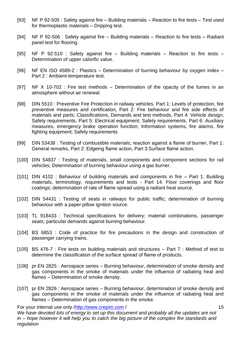- [93] NF P 92-505 : Safety against fire Building materials Reaction to fire tests Test used for thermoplastic materials – Dripping test.
- [94] NF P 92-506 : Safety against fire Building materials Reaction to fire tests Radiant panel test for flooring.
- [95] NF P 92-510 : Safety against fire Building materials Reaction to fire tests Determination of upper calorific value.
- [96] NF EN ISO 4589-2 : Plastics Determination of burning behaviour by oxygen index Part 2 : Ambient-temperature test.
- [97] NF X 10-702 : Fire test methods Determination of the opacity of the fumes in an atmosphere without air renewal.
- [98] DIN 5510 : Preventive Fire Protection in railway vehicles. Part 1: Levels of protection, fire preventive measures and certification, Part 2: Fire behaviour and fire side effects of materials and parts; Classifications, Demands and test methods, Part 4: Vehicle design; Safety requirements, Part 5: Electrical equipment; Safety requirements, Part 6: Auxiliary measures, emergency brake operation function; Information systems, fire alarms, fire fighting equipment; Safety requirements
- [99] DIN 53438 : Testing of combustible materials; reaction against a flame of burner, Part 1: General remarks, Part 2: Edgeing flame action, Part 3:Surface flame action.
- [100] DIN 54837 : Testing of materials, small components and component sections for rail vehicles; Determination of burning behaviour using a gas burner.
- [101] DIN 4102 : Behaviour of building materials and components in fire Part 1: Building materials, terminology, requirements and tests - Part 14: Floor coverings and floor coatings; determination of rate of flame spread using a radiant heat source.
- [102] DIN 54431 : Testing of seats in railways for public traffic; determination of burning behaviour with a paper pillow ignition source.
- [103] TL 918433 : Technical specifications for delivery; material combinations, passenger seats; particular demands against burning behaviour.
- [104] BS 6853 : Code of practice for fire precautions in the design and construction of passenger carrying trains.
- [105] BS 476-7 : Fire tests on building materials and structures Part 7 : Method of test to determine the classification of the surface spread of flame of products.
- [106] pr EN 2825 : Aerospace series Burning behaviour, determination of smoke density and gas components in the smoke of materials under the influence of radiating heat and flames – Determination of smoke density.
- [107] pr EN 2826 : Aerospace series Burning behaviour, determination of smoke density and gas components in the smoke of materials under the influence of radiating heat and flames – Determination of gas components in the smoke.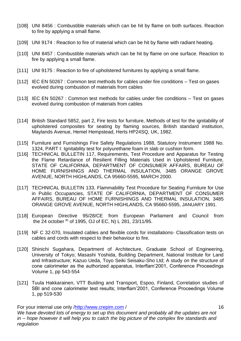- [108] UNI 8456 : Combustible materials which can be hit by flame on both surfaces. Reaction to fire by applying a small flame.
- [109] UNI 9174 : Reaction to fire of material which can be hit by flame with radiant heating.
- [110] UNI 8457 : Combustible materials which can be hit by flame on one surface. Reaction to fire by applying a small flame.
- [111] UNI 9175 : Reaction to fire of upholstered furnitures by applying a small flame.
- [112] IEC EN 50267 : Common test methods for cables under fire conditions Test on gases evolved during combustion of materials from cables
- [113] IEC EN 50267 : Common test methods for cables under fire conditions Test on gases evolved during combustion of materials from cables
- [114] British Standard 5852, part 2, Fire tests for furniture, Methods of test for the ignitability of upholstered composites for seating by flaming sources, British standard institution, Maylands Avenue, Hemel Hempstead, Herts HP24SQ, UK, 1982.
- [115] Furniture and Furnishings Fire Safety Regulations 1988, Statutory Instrument 1988 No. 1324, PART I: Ignitability test for polyurethane foam in slab or cushion form.
- [116] TECHNICAL BULLETIN 117, Requirements, Test Procedure and Apparatus for Testing the Flame Retardance of Resilient Filling Materials Used in Upholstered Furniture, STATE OF CALIFORNIA, DEPARTMENT OF CONSUMER AFFAIRS, BUREAU OF HOME FURNISHINGS AND THERMAL INSULATION, 3485 ORANGE GROVE AVENUE, NORTH HIGHLANDS, CA 95660-5595, MARCH 2000.
- [117] TECHNICAL BULLETIN 133, Flammability Test Procedure for Seating Furniture for Use in Public Occupancies, STATE OF CALIFORNIA, DEPARTMENT OF CONSUMER AFFAIRS, BUREAU OF HOME FURNISHINGS AND THERMAL INSULATION, 3485 ORANGE GROVE AVENUE, NORTH HIGHLANDS, CA 95660-5595, JANUARY 1991.
- [118] European Directive 95/28/CE from European Parliament and Council from the 24 october th of 1995, OJ of EC, N) L 281, 23/11/95.
- [119] NF C 32-070, Insulated cables and flexible cords for installations- Classification tests on cables and cords with respect to their behaviour to fire.
- [120] Shinichi Sugahara, Department of Architecture, Graduate School of Engineering, University of Tokyo; Masashi Yoshida, Building Department, National Institute for Land and Infrastructure; Kazuo Ueda, Toyo Seiki Seisaku-Sho Ltd; A study on the structure of cone calorimeter as the authorized apparatus, Interflam'2001, Conference Proceedings Volume 1, pp 543-554
- [121] Tuula Hakkarainen, VTT Buiding and Transport, Espoo, Finland, Correlation studies of SBI and cone calorimeter test results; Interflam'2001, Conference Proceedings Volume 1, pp 519-530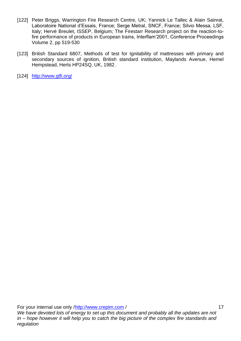- [122] Peter Briggs, Warrington Fire Research Centre, UK; Yannick Le Tallec & Alain Sainrat, Laboratoire National d'Essais, France; Serge Metral, SNCF, France; Silvio Messa, LSF, Italy; Hervé Breulet, ISSEP, Belgium; The Firestarr Research project on the reaction-tofire performance of products in European trains, Interflam'2001, Conference Proceedings Volume 2, pp 519-530
- [123] British Standard 6807, Methods of test for Ignitability of mattresses with primary and secondary sources of ignition, British standard institution, Maylands Avenue, Hemel Hempstead, Herts HP24SQ, UK, 1982.
- [124] http://www.gtfi.org/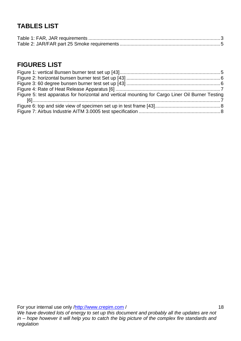## **TABLES LIST**

### **FIGURES LIST**

| Figure 5: test apparatus for horizontal and vertical mounting for Cargo Liner Oil Burner Testing |  |
|--------------------------------------------------------------------------------------------------|--|
|                                                                                                  |  |
|                                                                                                  |  |
|                                                                                                  |  |